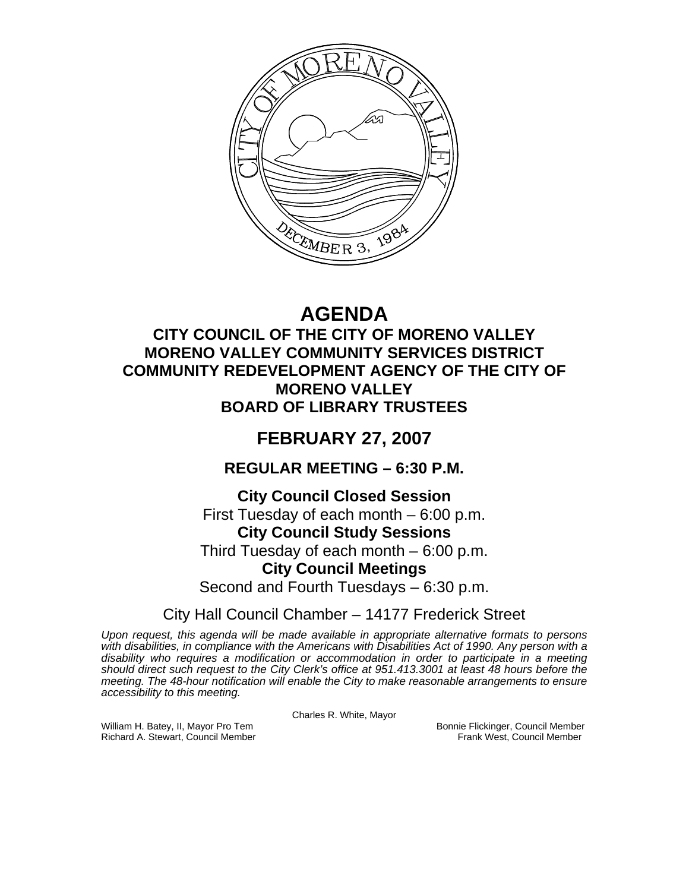

# **AGENDA**

### **CITY COUNCIL OF THE CITY OF MORENO VALLEY MORENO VALLEY COMMUNITY SERVICES DISTRICT COMMUNITY REDEVELOPMENT AGENCY OF THE CITY OF MORENO VALLEY BOARD OF LIBRARY TRUSTEES**

## **FEBRUARY 27, 2007**

### **REGULAR MEETING – 6:30 P.M.**

### **City Council Closed Session**

First Tuesday of each month – 6:00 p.m.

### **City Council Study Sessions**

Third Tuesday of each month – 6:00 p.m.

### **City Council Meetings**

Second and Fourth Tuesdays – 6:30 p.m.

### City Hall Council Chamber – 14177 Frederick Street

*Upon request, this agenda will be made available in appropriate alternative formats to persons with disabilities, in compliance with the Americans with Disabilities Act of 1990. Any person with a disability who requires a modification or accommodation in order to participate in a meeting should direct such request to the City Clerk's office at 951.413.3001 at least 48 hours before the meeting. The 48-hour notification will enable the City to make reasonable arrangements to ensure accessibility to this meeting.* 

Charles R. White, Mayor

William H. Batey, II, Mayor Pro Tem Bonnie Flickinger, Council Member<br>Richard A. Stewart, Council Member Bonnie Frank West, Council Member Richard A. Stewart, Council Member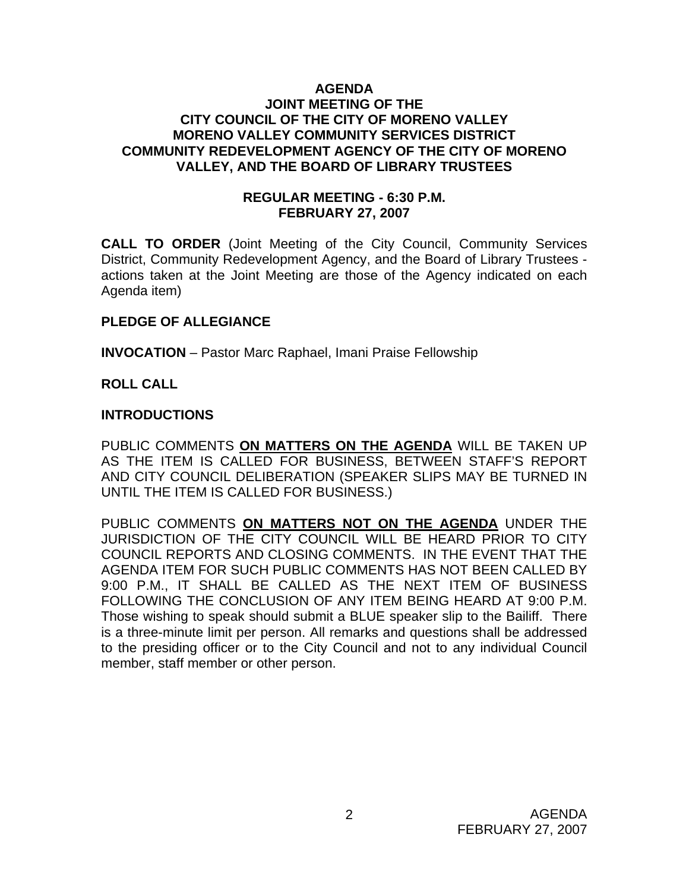#### **AGENDA JOINT MEETING OF THE CITY COUNCIL OF THE CITY OF MORENO VALLEY MORENO VALLEY COMMUNITY SERVICES DISTRICT COMMUNITY REDEVELOPMENT AGENCY OF THE CITY OF MORENO VALLEY, AND THE BOARD OF LIBRARY TRUSTEES**

#### **REGULAR MEETING - 6:30 P.M. FEBRUARY 27, 2007**

**CALL TO ORDER** (Joint Meeting of the City Council, Community Services District, Community Redevelopment Agency, and the Board of Library Trustees actions taken at the Joint Meeting are those of the Agency indicated on each Agenda item)

#### **PLEDGE OF ALLEGIANCE**

**INVOCATION** – Pastor Marc Raphael, Imani Praise Fellowship

#### **ROLL CALL**

#### **INTRODUCTIONS**

PUBLIC COMMENTS **ON MATTERS ON THE AGENDA** WILL BE TAKEN UP AS THE ITEM IS CALLED FOR BUSINESS, BETWEEN STAFF'S REPORT AND CITY COUNCIL DELIBERATION (SPEAKER SLIPS MAY BE TURNED IN UNTIL THE ITEM IS CALLED FOR BUSINESS.)

PUBLIC COMMENTS **ON MATTERS NOT ON THE AGENDA** UNDER THE JURISDICTION OF THE CITY COUNCIL WILL BE HEARD PRIOR TO CITY COUNCIL REPORTS AND CLOSING COMMENTS. IN THE EVENT THAT THE AGENDA ITEM FOR SUCH PUBLIC COMMENTS HAS NOT BEEN CALLED BY 9:00 P.M., IT SHALL BE CALLED AS THE NEXT ITEM OF BUSINESS FOLLOWING THE CONCLUSION OF ANY ITEM BEING HEARD AT 9:00 P.M. Those wishing to speak should submit a BLUE speaker slip to the Bailiff. There is a three-minute limit per person. All remarks and questions shall be addressed to the presiding officer or to the City Council and not to any individual Council member, staff member or other person.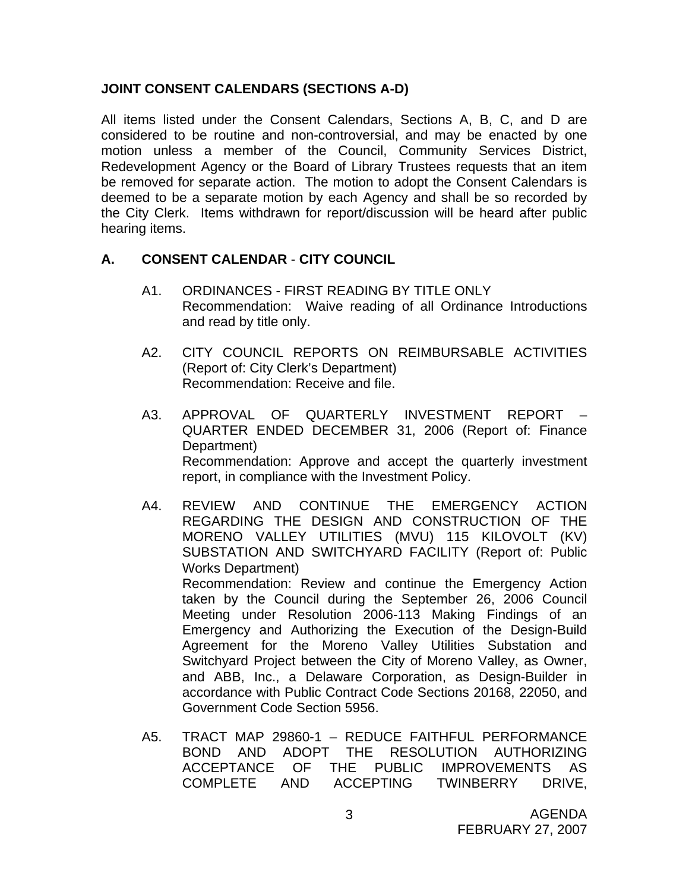#### **JOINT CONSENT CALENDARS (SECTIONS A-D)**

All items listed under the Consent Calendars, Sections A, B, C, and D are considered to be routine and non-controversial, and may be enacted by one motion unless a member of the Council, Community Services District, Redevelopment Agency or the Board of Library Trustees requests that an item be removed for separate action. The motion to adopt the Consent Calendars is deemed to be a separate motion by each Agency and shall be so recorded by the City Clerk. Items withdrawn for report/discussion will be heard after public hearing items.

#### **A. CONSENT CALENDAR** - **CITY COUNCIL**

- A1. ORDINANCES FIRST READING BY TITLE ONLY Recommendation: Waive reading of all Ordinance Introductions and read by title only.
- A2. CITY COUNCIL REPORTS ON REIMBURSABLE ACTIVITIES (Report of: City Clerk's Department) Recommendation: Receive and file.
- A3. APPROVAL OF QUARTERLY INVESTMENT REPORT QUARTER ENDED DECEMBER 31, 2006 (Report of: Finance Department) Recommendation: Approve and accept the quarterly investment report, in compliance with the Investment Policy.
- A4. REVIEW AND CONTINUE THE EMERGENCY ACTION REGARDING THE DESIGN AND CONSTRUCTION OF THE MORENO VALLEY UTILITIES (MVU) 115 KILOVOLT (KV) SUBSTATION AND SWITCHYARD FACILITY (Report of: Public Works Department) Recommendation: Review and continue the Emergency Action taken by the Council during the September 26, 2006 Council Meeting under Resolution 2006-113 Making Findings of an Emergency and Authorizing the Execution of the Design-Build Agreement for the Moreno Valley Utilities Substation and Switchyard Project between the City of Moreno Valley, as Owner, and ABB, Inc., a Delaware Corporation, as Design-Builder in accordance with Public Contract Code Sections 20168, 22050, and Government Code Section 5956.
- A5. TRACT MAP 29860-1 REDUCE FAITHFUL PERFORMANCE BOND AND ADOPT THE RESOLUTION AUTHORIZING ACCEPTANCE OF THE PUBLIC IMPROVEMENTS AS COMPLETE AND ACCEPTING TWINBERRY DRIVE,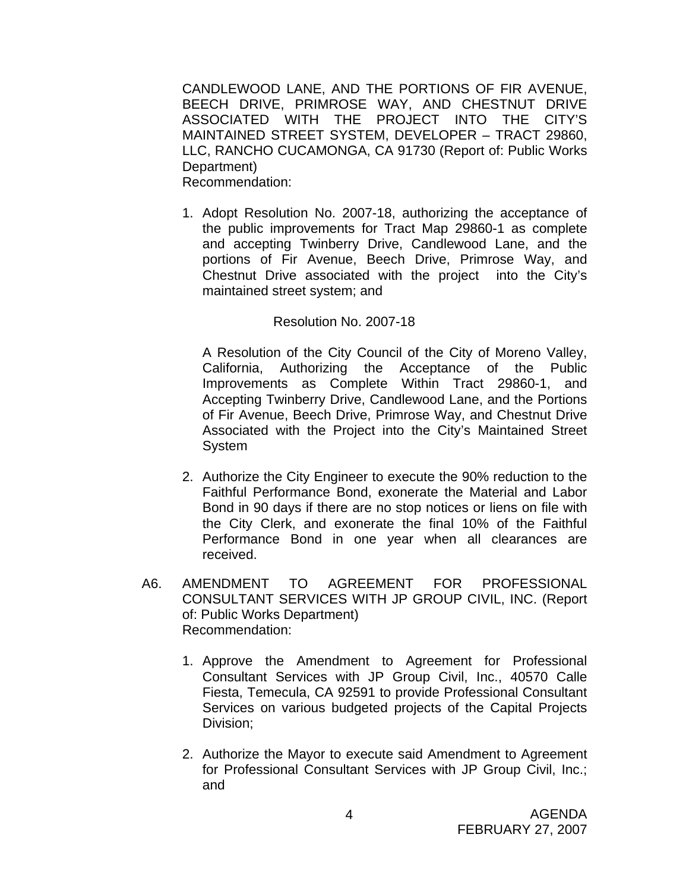CANDLEWOOD LANE, AND THE PORTIONS OF FIR AVENUE, BEECH DRIVE, PRIMROSE WAY, AND CHESTNUT DRIVE ASSOCIATED WITH THE PROJECT INTO THE CITY'S MAINTAINED STREET SYSTEM, DEVELOPER – TRACT 29860, LLC, RANCHO CUCAMONGA, CA 91730 (Report of: Public Works Department) Recommendation:

1. Adopt Resolution No. 2007-18, authorizing the acceptance of the public improvements for Tract Map 29860-1 as complete and accepting Twinberry Drive, Candlewood Lane, and the portions of Fir Avenue, Beech Drive, Primrose Way, and Chestnut Drive associated with the project into the City's maintained street system; and

#### Resolution No. 2007-18

A Resolution of the City Council of the City of Moreno Valley, California, Authorizing the Acceptance of the Public Improvements as Complete Within Tract 29860-1, and Accepting Twinberry Drive, Candlewood Lane, and the Portions of Fir Avenue, Beech Drive, Primrose Way, and Chestnut Drive Associated with the Project into the City's Maintained Street System

- 2. Authorize the City Engineer to execute the 90% reduction to the Faithful Performance Bond, exonerate the Material and Labor Bond in 90 days if there are no stop notices or liens on file with the City Clerk, and exonerate the final 10% of the Faithful Performance Bond in one year when all clearances are received.
- A6. AMENDMENT TO AGREEMENT FOR PROFESSIONAL CONSULTANT SERVICES WITH JP GROUP CIVIL, INC. (Report of: Public Works Department) Recommendation:
	- 1. Approve the Amendment to Agreement for Professional Consultant Services with JP Group Civil, Inc., 40570 Calle Fiesta, Temecula, CA 92591 to provide Professional Consultant Services on various budgeted projects of the Capital Projects Division;
	- 2. Authorize the Mayor to execute said Amendment to Agreement for Professional Consultant Services with JP Group Civil, Inc.; and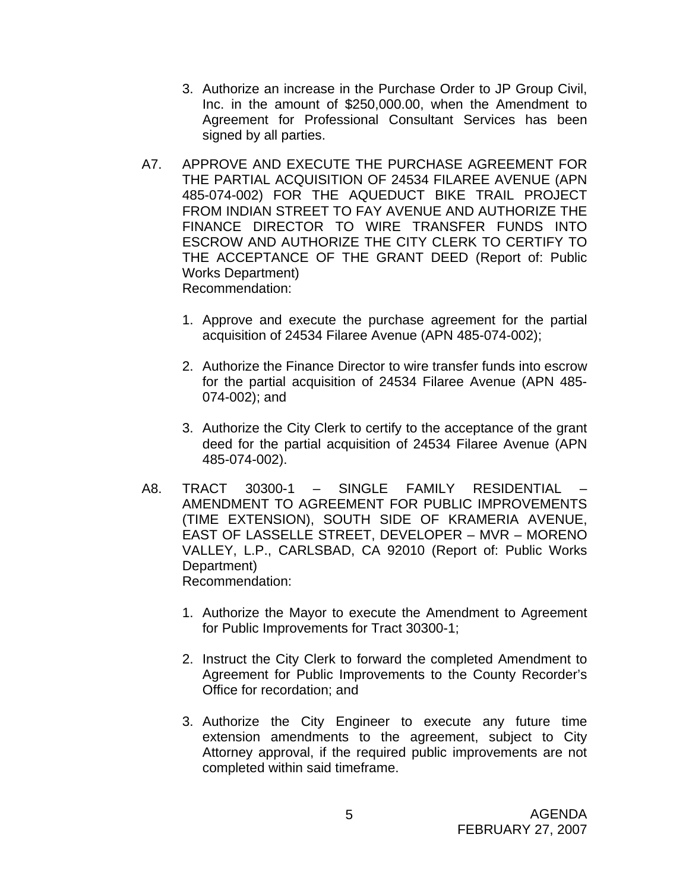- 3. Authorize an increase in the Purchase Order to JP Group Civil, Inc. in the amount of \$250,000.00, when the Amendment to Agreement for Professional Consultant Services has been signed by all parties.
- A7. APPROVE AND EXECUTE THE PURCHASE AGREEMENT FOR THE PARTIAL ACQUISITION OF 24534 FILAREE AVENUE (APN 485-074-002) FOR THE AQUEDUCT BIKE TRAIL PROJECT FROM INDIAN STREET TO FAY AVENUE AND AUTHORIZE THE FINANCE DIRECTOR TO WIRE TRANSFER FUNDS INTO ESCROW AND AUTHORIZE THE CITY CLERK TO CERTIFY TO THE ACCEPTANCE OF THE GRANT DEED (Report of: Public Works Department) Recommendation:
	- 1. Approve and execute the purchase agreement for the partial acquisition of 24534 Filaree Avenue (APN 485-074-002);
	- 2. Authorize the Finance Director to wire transfer funds into escrow for the partial acquisition of 24534 Filaree Avenue (APN 485- 074-002); and
	- 3. Authorize the City Clerk to certify to the acceptance of the grant deed for the partial acquisition of 24534 Filaree Avenue (APN 485-074-002).
- A8. TRACT 30300-1 SINGLE FAMILY RESIDENTIAL AMENDMENT TO AGREEMENT FOR PUBLIC IMPROVEMENTS (TIME EXTENSION), SOUTH SIDE OF KRAMERIA AVENUE, EAST OF LASSELLE STREET, DEVELOPER – MVR – MORENO VALLEY, L.P., CARLSBAD, CA 92010 (Report of: Public Works Department) Recommendation:
	- 1. Authorize the Mayor to execute the Amendment to Agreement for Public Improvements for Tract 30300-1;
	- 2. Instruct the City Clerk to forward the completed Amendment to Agreement for Public Improvements to the County Recorder's Office for recordation; and
	- 3. Authorize the City Engineer to execute any future time extension amendments to the agreement, subject to City Attorney approval, if the required public improvements are not completed within said timeframe.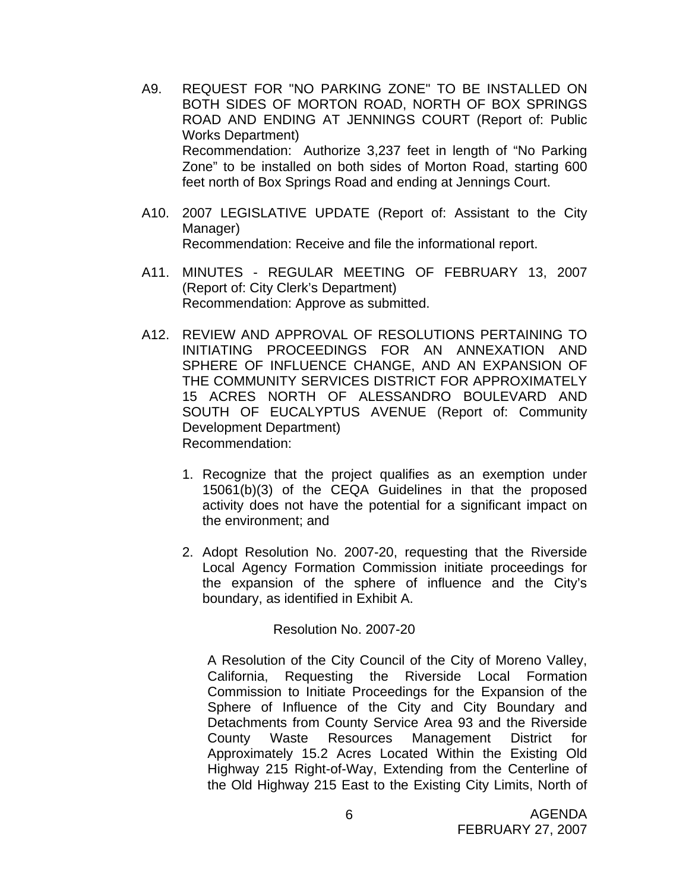- A9. REQUEST FOR "NO PARKING ZONE" TO BE INSTALLED ON BOTH SIDES OF MORTON ROAD, NORTH OF BOX SPRINGS ROAD AND ENDING AT JENNINGS COURT (Report of: Public Works Department) Recommendation: Authorize 3,237 feet in length of "No Parking Zone" to be installed on both sides of Morton Road, starting 600 feet north of Box Springs Road and ending at Jennings Court.
- A10. 2007 LEGISLATIVE UPDATE (Report of: Assistant to the City Manager) Recommendation: Receive and file the informational report.
- A11. MINUTES REGULAR MEETING OF FEBRUARY 13, 2007 (Report of: City Clerk's Department) Recommendation: Approve as submitted.
- A12. REVIEW AND APPROVAL OF RESOLUTIONS PERTAINING TO INITIATING PROCEEDINGS FOR AN ANNEXATION AND SPHERE OF INFLUENCE CHANGE, AND AN EXPANSION OF THE COMMUNITY SERVICES DISTRICT FOR APPROXIMATELY 15 ACRES NORTH OF ALESSANDRO BOULEVARD AND SOUTH OF EUCALYPTUS AVENUE (Report of: Community Development Department) Recommendation:
	- 1. Recognize that the project qualifies as an exemption under 15061(b)(3) of the CEQA Guidelines in that the proposed activity does not have the potential for a significant impact on the environment; and
	- 2. Adopt Resolution No. 2007-20, requesting that the Riverside Local Agency Formation Commission initiate proceedings for the expansion of the sphere of influence and the City's boundary, as identified in Exhibit A.

Resolution No. 2007-20

A Resolution of the City Council of the City of Moreno Valley, California, Requesting the Riverside Local Formation Commission to Initiate Proceedings for the Expansion of the Sphere of Influence of the City and City Boundary and Detachments from County Service Area 93 and the Riverside County Waste Resources Management District for Approximately 15.2 Acres Located Within the Existing Old Highway 215 Right-of-Way, Extending from the Centerline of the Old Highway 215 East to the Existing City Limits, North of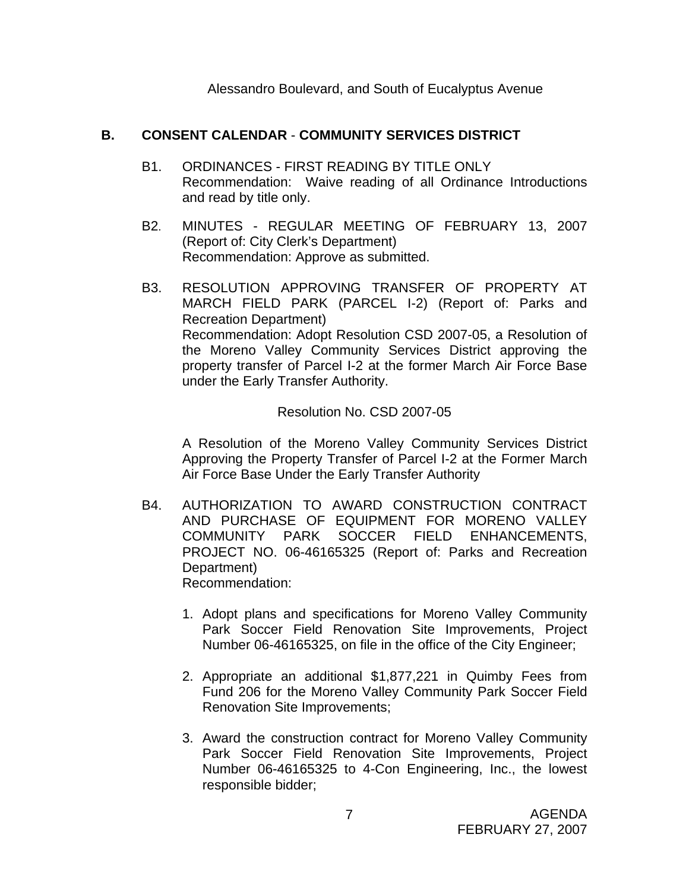Alessandro Boulevard, and South of Eucalyptus Avenue

#### **B. CONSENT CALENDAR** - **COMMUNITY SERVICES DISTRICT**

- B1. ORDINANCES FIRST READING BY TITLE ONLY Recommendation: Waive reading of all Ordinance Introductions and read by title only.
- B2. MINUTES REGULAR MEETING OF FEBRUARY 13, 2007 (Report of: City Clerk's Department) Recommendation: Approve as submitted.
- B3. RESOLUTION APPROVING TRANSFER OF PROPERTY AT MARCH FIELD PARK (PARCEL I-2) (Report of: Parks and Recreation Department) Recommendation: Adopt Resolution CSD 2007-05, a Resolution of the Moreno Valley Community Services District approving the property transfer of Parcel I-2 at the former March Air Force Base under the Early Transfer Authority.

#### Resolution No. CSD 2007-05

A Resolution of the Moreno Valley Community Services District Approving the Property Transfer of Parcel I-2 at the Former March Air Force Base Under the Early Transfer Authority

- B4. AUTHORIZATION TO AWARD CONSTRUCTION CONTRACT AND PURCHASE OF EQUIPMENT FOR MORENO VALLEY COMMUNITY PARK SOCCER FIELD ENHANCEMENTS, PROJECT NO. 06-46165325 (Report of: Parks and Recreation Department) Recommendation:
	- 1. Adopt plans and specifications for Moreno Valley Community Park Soccer Field Renovation Site Improvements, Project Number 06-46165325, on file in the office of the City Engineer;
	- 2. Appropriate an additional \$1,877,221 in Quimby Fees from Fund 206 for the Moreno Valley Community Park Soccer Field Renovation Site Improvements;
	- 3. Award the construction contract for Moreno Valley Community Park Soccer Field Renovation Site Improvements, Project Number 06-46165325 to 4-Con Engineering, Inc., the lowest responsible bidder;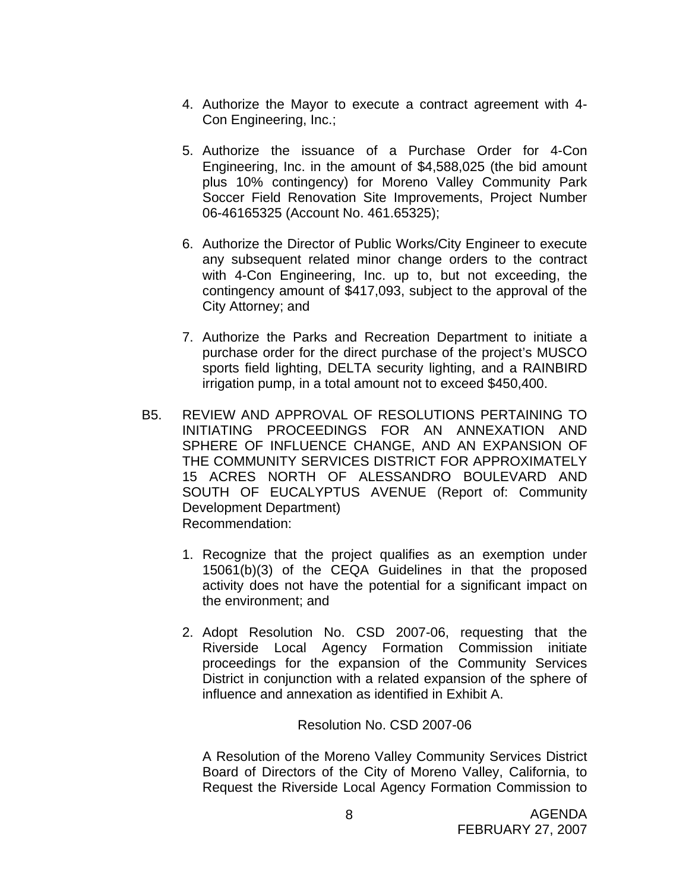- 4. Authorize the Mayor to execute a contract agreement with 4- Con Engineering, Inc.;
- 5. Authorize the issuance of a Purchase Order for 4-Con Engineering, Inc. in the amount of \$4,588,025 (the bid amount plus 10% contingency) for Moreno Valley Community Park Soccer Field Renovation Site Improvements, Project Number 06-46165325 (Account No. 461.65325);
- 6. Authorize the Director of Public Works/City Engineer to execute any subsequent related minor change orders to the contract with 4-Con Engineering, Inc. up to, but not exceeding, the contingency amount of \$417,093, subject to the approval of the City Attorney; and
- 7. Authorize the Parks and Recreation Department to initiate a purchase order for the direct purchase of the project's MUSCO sports field lighting, DELTA security lighting, and a RAINBIRD irrigation pump, in a total amount not to exceed \$450,400.
- B5. REVIEW AND APPROVAL OF RESOLUTIONS PERTAINING TO INITIATING PROCEEDINGS FOR AN ANNEXATION AND SPHERE OF INFLUENCE CHANGE, AND AN EXPANSION OF THE COMMUNITY SERVICES DISTRICT FOR APPROXIMATELY 15 ACRES NORTH OF ALESSANDRO BOULEVARD AND SOUTH OF EUCALYPTUS AVENUE (Report of: Community Development Department) Recommendation:
	- 1. Recognize that the project qualifies as an exemption under 15061(b)(3) of the CEQA Guidelines in that the proposed activity does not have the potential for a significant impact on the environment; and
	- 2. Adopt Resolution No. CSD 2007-06, requesting that the Riverside Local Agency Formation Commission initiate proceedings for the expansion of the Community Services District in conjunction with a related expansion of the sphere of influence and annexation as identified in Exhibit A.

#### Resolution No. CSD 2007-06

A Resolution of the Moreno Valley Community Services District Board of Directors of the City of Moreno Valley, California, to Request the Riverside Local Agency Formation Commission to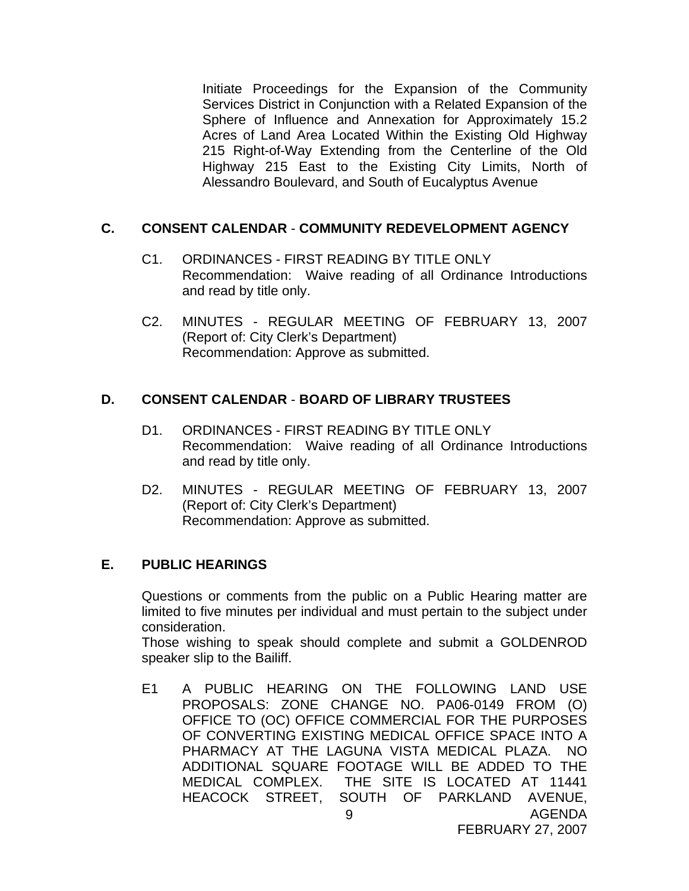Initiate Proceedings for the Expansion of the Community Services District in Conjunction with a Related Expansion of the Sphere of Influence and Annexation for Approximately 15.2 Acres of Land Area Located Within the Existing Old Highway 215 Right-of-Way Extending from the Centerline of the Old Highway 215 East to the Existing City Limits, North of Alessandro Boulevard, and South of Eucalyptus Avenue

#### **C. CONSENT CALENDAR** - **COMMUNITY REDEVELOPMENT AGENCY**

- C1. ORDINANCES FIRST READING BY TITLE ONLY Recommendation: Waive reading of all Ordinance Introductions and read by title only.
- C2. MINUTES REGULAR MEETING OF FEBRUARY 13, 2007 (Report of: City Clerk's Department) Recommendation: Approve as submitted.

#### **D. CONSENT CALENDAR** - **BOARD OF LIBRARY TRUSTEES**

- D1. ORDINANCES FIRST READING BY TITLE ONLY Recommendation: Waive reading of all Ordinance Introductions and read by title only.
- D2. MINUTES REGULAR MEETING OF FEBRUARY 13, 2007 (Report of: City Clerk's Department) Recommendation: Approve as submitted.

#### **E. PUBLIC HEARINGS**

Questions or comments from the public on a Public Hearing matter are limited to five minutes per individual and must pertain to the subject under consideration.

 Those wishing to speak should complete and submit a GOLDENROD speaker slip to the Bailiff.

AGENDA 9 E1 A PUBLIC HEARING ON THE FOLLOWING LAND USE PROPOSALS: ZONE CHANGE NO. PA06-0149 FROM (O) OFFICE TO (OC) OFFICE COMMERCIAL FOR THE PURPOSES OF CONVERTING EXISTING MEDICAL OFFICE SPACE INTO A PHARMACY AT THE LAGUNA VISTA MEDICAL PLAZA. NO ADDITIONAL SQUARE FOOTAGE WILL BE ADDED TO THE MEDICAL COMPLEX. THE SITE IS LOCATED AT 11441 HEACOCK STREET, SOUTH OF PARKLAND AVENUE,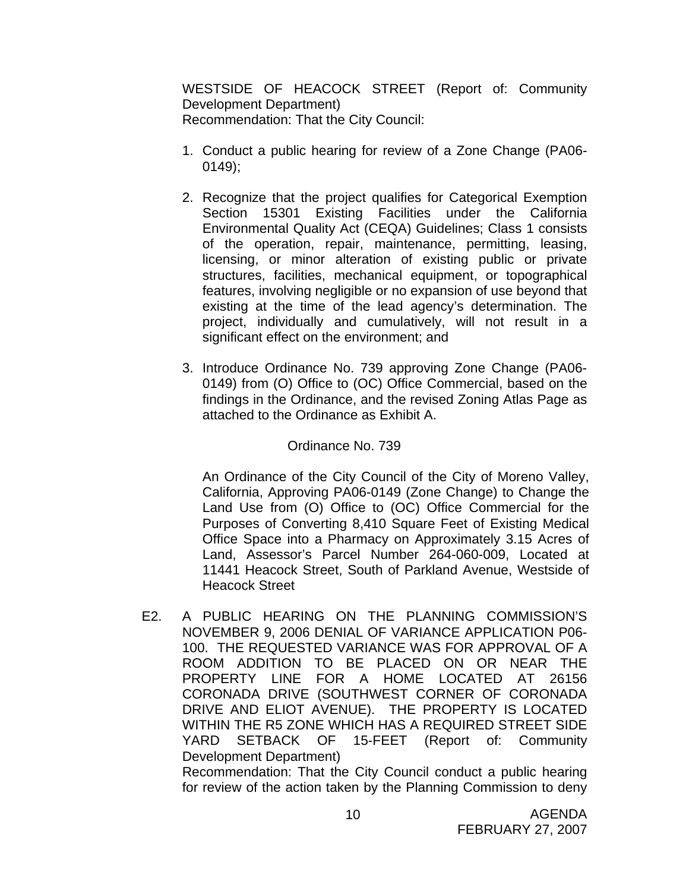WESTSIDE OF HEACOCK STREET (Report of: Community Development Department) Recommendation: That the City Council:

- 1. Conduct a public hearing for review of a Zone Change (PA06- 0149);
- 2. Recognize that the project qualifies for Categorical Exemption Section 15301 Existing Facilities under the California Environmental Quality Act (CEQA) Guidelines; Class 1 consists of the operation, repair, maintenance, permitting, leasing, licensing, or minor alteration of existing public or private structures, facilities, mechanical equipment, or topographical features, involving negligible or no expansion of use beyond that existing at the time of the lead agency's determination. The project, individually and cumulatively, will not result in a significant effect on the environment; and
- 3. Introduce Ordinance No. 739 approving Zone Change (PA06- 0149) from (O) Office to (OC) Office Commercial, based on the findings in the Ordinance, and the revised Zoning Atlas Page as attached to the Ordinance as Exhibit A.

#### Ordinance No. 739

An Ordinance of the City Council of the City of Moreno Valley, California, Approving PA06-0149 (Zone Change) to Change the Land Use from (O) Office to (OC) Office Commercial for the Purposes of Converting 8,410 Square Feet of Existing Medical Office Space into a Pharmacy on Approximately 3.15 Acres of Land, Assessor's Parcel Number 264-060-009, Located at 11441 Heacock Street, South of Parkland Avenue, Westside of Heacock Street

E2. A PUBLIC HEARING ON THE PLANNING COMMISSION'S NOVEMBER 9, 2006 DENIAL OF VARIANCE APPLICATION P06- 100. THE REQUESTED VARIANCE WAS FOR APPROVAL OF A ROOM ADDITION TO BE PLACED ON OR NEAR THE PROPERTY LINE FOR A HOME LOCATED AT 26156 CORONADA DRIVE (SOUTHWEST CORNER OF CORONADA DRIVE AND ELIOT AVENUE). THE PROPERTY IS LOCATED WITHIN THE R5 ZONE WHICH HAS A REQUIRED STREET SIDE YARD SETBACK OF 15-FEET (Report of: Community Development Department)

 Recommendation: That the City Council conduct a public hearing for review of the action taken by the Planning Commission to deny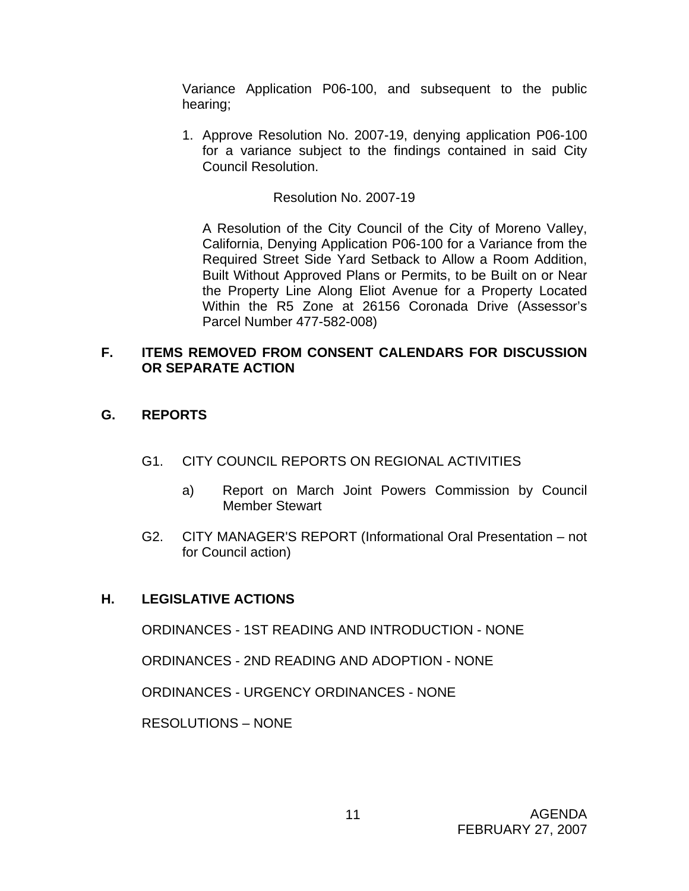Variance Application P06-100, and subsequent to the public hearing;

1. Approve Resolution No. 2007-19, denying application P06-100 for a variance subject to the findings contained in said City Council Resolution.

#### Resolution No. 2007-19

A Resolution of the City Council of the City of Moreno Valley, California, Denying Application P06-100 for a Variance from the Required Street Side Yard Setback to Allow a Room Addition, Built Without Approved Plans or Permits, to be Built on or Near the Property Line Along Eliot Avenue for a Property Located Within the R5 Zone at 26156 Coronada Drive (Assessor's Parcel Number 477-582-008)

#### **F. ITEMS REMOVED FROM CONSENT CALENDARS FOR DISCUSSION OR SEPARATE ACTION**

### **G. REPORTS**

- G1. CITY COUNCIL REPORTS ON REGIONAL ACTIVITIES
	- a) Report on March Joint Powers Commission by Council Member Stewart
- G2. CITY MANAGER'S REPORT (Informational Oral Presentation not for Council action)

#### **H. LEGISLATIVE ACTIONS**

ORDINANCES - 1ST READING AND INTRODUCTION - NONE

ORDINANCES - 2ND READING AND ADOPTION - NONE

ORDINANCES - URGENCY ORDINANCES - NONE

RESOLUTIONS – NONE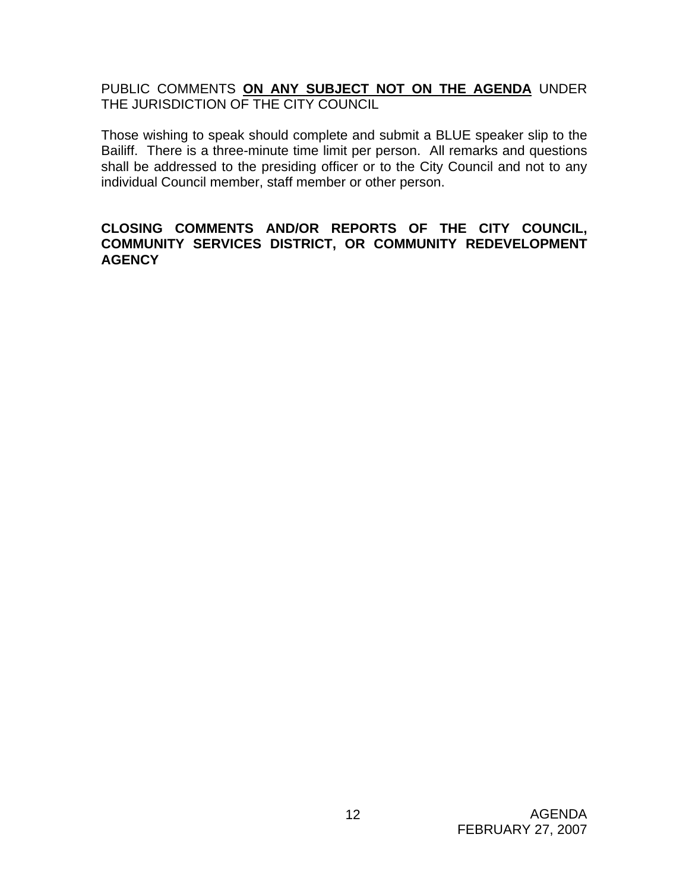PUBLIC COMMENTS **ON ANY SUBJECT NOT ON THE AGENDA** UNDER THE JURISDICTION OF THE CITY COUNCIL

Those wishing to speak should complete and submit a BLUE speaker slip to the Bailiff. There is a three-minute time limit per person. All remarks and questions shall be addressed to the presiding officer or to the City Council and not to any individual Council member, staff member or other person.

#### **CLOSING COMMENTS AND/OR REPORTS OF THE CITY COUNCIL, COMMUNITY SERVICES DISTRICT, OR COMMUNITY REDEVELOPMENT AGENCY**